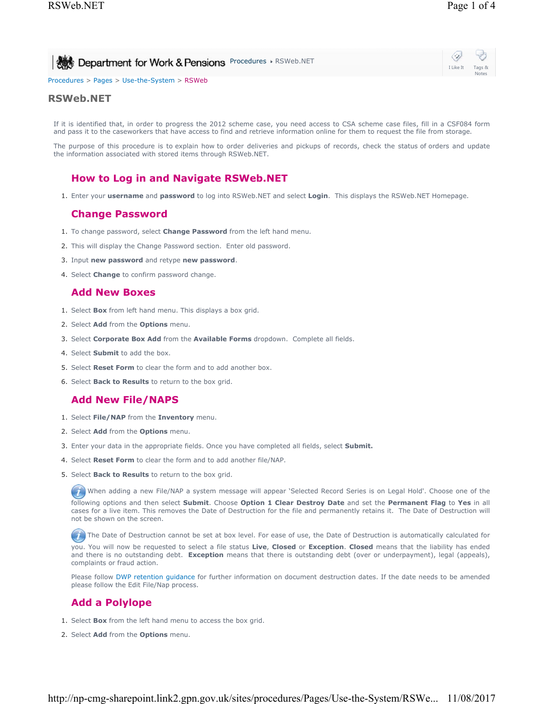I Like It Tags & Notes

| Bootment for Work & Pensions Procedures & RSWeb.NET |  |
|-----------------------------------------------------|--|
|-----------------------------------------------------|--|

Procedures > Pages > Use-the-System > RSWeb

#### **RSWeb.NET**

If it is identified that, in order to progress the 2012 scheme case, you need access to CSA scheme case files, fill in a CSF084 form and pass it to the caseworkers that have access to find and retrieve information online for them to request the file from storage.

The purpose of this procedure is to explain how to order deliveries and pickups of records, check the status of orders and update the information associated with stored items through RSWeb.NET.

# **How to Log in and Navigate RSWeb.NET**

1. Enter your **username** and **password** to log into RSWeb.NET and select **Login**. This displays the RSWeb.NET Homepage.

## **Change Password**

- 1. To change password, select **Change Password** from the left hand menu.
- 2. This will display the Change Password section. Enter old password.
- 3. Input **new password** and retype **new password**.
- 4. Select **Change** to confirm password change.

## **Add New Boxes**

- 1. Select **Box** from left hand menu. This displays a box grid.
- 2. Select **Add** from the **Options** menu.
- 3. Select **Corporate Box Add** from the **Available Forms** dropdown. Complete all fields.
- 4. Select **Submit** to add the box.
- 5. Select **Reset Form** to clear the form and to add another box.
- 6. Select **Back to Results** to return to the box grid.

## **Add New File/NAPS**

- 1. Select **File/NAP** from the **Inventory** menu.
- 2. Select **Add** from the **Options** menu.
- 3. Enter your data in the appropriate fields. Once you have completed all fields, select **Submit.**
- 4. Select **Reset Form** to clear the form and to add another file/NAP.
- 5. Select **Back to Results** to return to the box grid.

When adding a new File/NAP a system message will appear 'Selected Record Series is on Legal Hold'. Choose one of the

following options and then select **Submit**. Choose **Option 1 Clear Destroy Date** and set the **Permanent Flag** to **Yes** in all cases for a live item. This removes the Date of Destruction for the file and permanently retains it. The Date of Destruction will not be shown on the screen.

 $(T)$  The Date of Destruction cannot be set at box level. For ease of use, the Date of Destruction is automatically calculated for you. You will now be requested to select a file status **Live**, **Closed** or **Exception**. **Closed** means that the liability has ended and there is no outstanding debt. **Exception** means that there is outstanding debt (over or underpayment), legal (appeals), complaints or fraud action.

Please follow DWP retention guidance for further information on document destruction dates. If the date needs to be amended please follow the Edit File/Nap process.

# **Add a Polylope**

- 1. Select **Box** from the left hand menu to access the box grid.
- 2. Select **Add** from the **Options** menu.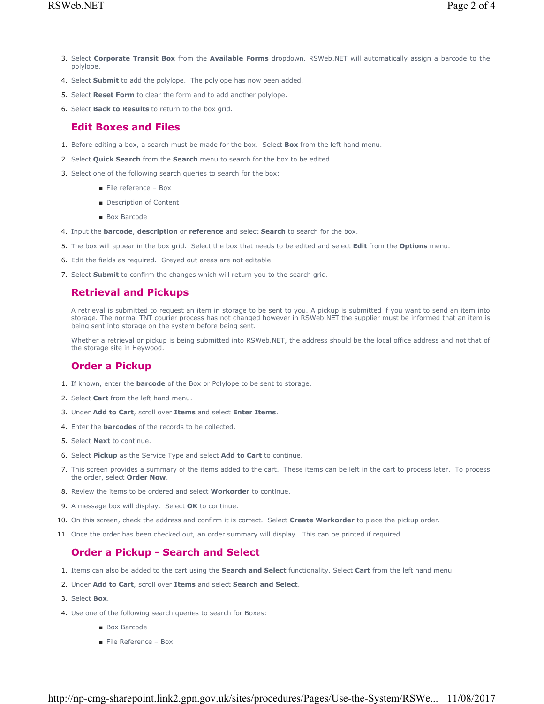- Select **Corporate Transit Box** from the **Available Forms** dropdown. RSWeb.NET will automatically assign a barcode to the 3. polylope.
- 4. Select **Submit** to add the polylope. The polylope has now been added.
- 5. Select **Reset Form** to clear the form and to add another polylope.
- 6. Select **Back to Results** to return to the box grid.

#### **Edit Boxes and Files**

- 1. Before editing a box, a search must be made for the box. Select **Box** from the left hand menu.
- 2. Select **Quick Search** from the **Search** menu to search for the box to be edited.
- 3. Select one of the following search queries to search for the box:
	- File reference Box
	- Description of Content
	- Box Barcode
- 4. Input the **barcode**, **description** or **reference** and select **Search** to search for the box.
- 5. The box will appear in the box grid. Select the box that needs to be edited and select **Edit** from the **Options** menu.
- 6. Edit the fields as required. Greyed out areas are not editable.
- 7. Select **Submit** to confirm the changes which will return you to the search grid.

### **Retrieval and Pickups**

A retrieval is submitted to request an item in storage to be sent to you. A pickup is submitted if you want to send an item into storage. The normal TNT courier process has not changed however in RSWeb.NET the supplier must be informed that an item is being sent into storage on the system before being sent.

Whether a retrieval or pickup is being submitted into RSWeb.NET, the address should be the local office address and not that of the storage site in Heywood.

## **Order a Pickup**

- 1. If known, enter the **barcode** of the Box or Polylope to be sent to storage.
- 2. Select **Cart** from the left hand menu.
- 3. Under **Add to Cart**, scroll over **Items** and select **Enter Items**.
- 4. Enter the **barcodes** of the records to be collected.
- 5. Select **Next** to continue.
- 6. Select **Pickup** as the Service Type and select **Add to Cart** to continue.
- 7. This screen provides a summary of the items added to the cart. These items can be left in the cart to process later. To process the order, select **Order Now**.
- 8. Review the items to be ordered and select **Workorder** to continue.
- 9. A message box will display. Select **OK** to continue.
- 10. On this screen, check the address and confirm it is correct. Select **Create Workorder** to place the pickup order.
- 11. Once the order has been checked out, an order summary will display. This can be printed if required.

# **Order a Pickup - Search and Select**

- 1. Items can also be added to the cart using the **Search and Select** functionality. Select **Cart** from the left hand menu.
- 2. Under **Add to Cart**, scroll over **Items** and select **Search and Select**.
- 3. Select **Box**.
- 4. Use one of the following search queries to search for Boxes:
	- Box Barcode
	- File Reference Box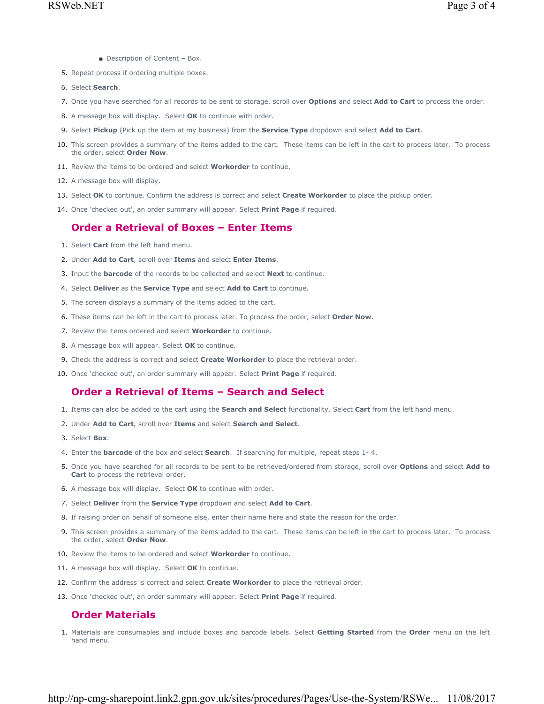- Description of Content Box.
- 5. Repeat process if ordering multiple boxes.
- 6. Select **Search**.
- 7. Once you have searched for all records to be sent to storage, scroll over **Options** and select **Add to Cart** to process the order.
- 8. A message box will display. Select **OK** to continue with order.
- 9. Select **Pickup** (Pick up the item at my business) from the **Service Type** dropdown and select **Add to Cart**.
- 10. This screen provides a summary of the items added to the cart. These items can be left in the cart to process later. To process the order, select **Order Now**.
- 11. Review the items to be ordered and select **Workorder** to continue.
- 12. A message box will display.
- 13. Select **OK** to continue. Confirm the address is correct and select **Create Workorder** to place the pickup order.
- 14. Once 'checked out', an order summary will appear. Select **Print Page** if required.

## **Order a Retrieval of Boxes – Enter Items**

- 1. Select **Cart** from the left hand menu.
- 2. Under **Add to Cart**, scroll over **Items** and select **Enter Items**.
- 3. Input the **barcode** of the records to be collected and select **Next** to continue.
- 4. Select **Deliver** as the **Service Type** and select **Add to Cart** to continue.
- 5. The screen displays a summary of the items added to the cart.
- 6. These items can be left in the cart to process later. To process the order, select **Order Now**.
- 7. Review the items ordered and select **Workorder** to continue.
- 8. A message box will appear. Select **OK** to continue.
- 9. Check the address is correct and select **Create Workorder** to place the retrieval order.
- 10. Once 'checked out', an order summary will appear. Select **Print Page** if required.

## **Order a Retrieval of Items – Search and Select**

- 1. Items can also be added to the cart using the **Search and Select** functionality. Select **Cart** from the left hand menu.
- 2. Under **Add to Cart**, scroll over **Items** and select **Search and Select**.
- 3. Select **Box**.
- 4. Enter the **barcode** of the box and select **Search**. If searching for multiple, repeat steps 1- 4.
- Once you have searched for all records to be sent to be retrieved/ordered from storage, scroll over **Options** and select **Add to**  5. **Cart** to process the retrieval order.
- 6. A message box will display. Select **OK** to continue with order.
- 7. Select **Deliver** from the **Service Type** dropdown and select **Add to Cart**.
- 8. If raising order on behalf of someone else, enter their name here and state the reason for the order.
- 9. This screen provides a summary of the items added to the cart. These items can be left in the cart to process later. To process the order, select **Order Now**.
- 10. Review the items to be ordered and select **Workorder** to continue.
- 11. A message box will display. Select **OK** to continue.
- 12. Confirm the address is correct and select **Create Workorder** to place the retrieval order.
- 13. Once 'checked out', an order summary will appear. Select **Print Page** if required.

### **Order Materials**

Materials are consumables and include boxes and barcode labels. Select **Getting Started** from the **Order** menu on the left 1. hand menu.